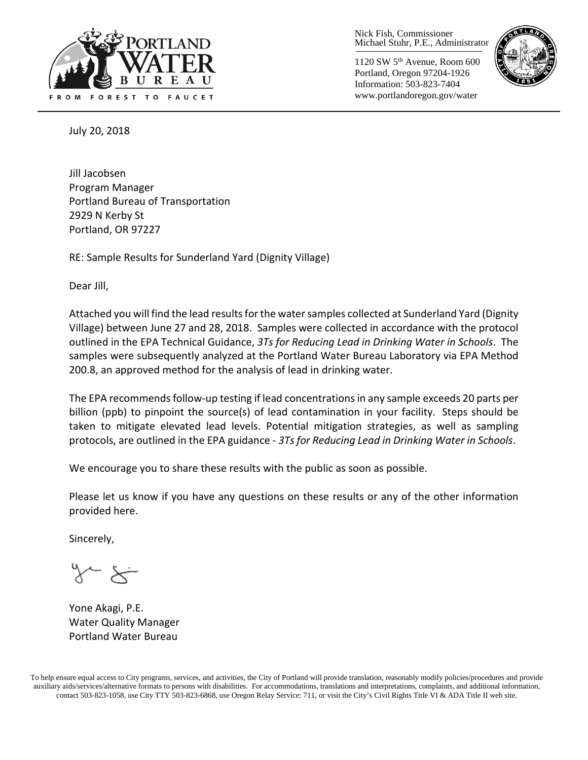

Nick Fish, Commissioner Michael Stuhr, P.E., Administrator

1120 SW 5th Avenue, Room 600 Portland, Oregon 97204-1926 Information: 503-823-7404 www.portlandoregon.gov/water



July 20, 2018

Jill Jacobsen Program Manager Portland Bureau of Transportation 2929 N Kerby St Portland, OR 97227

RE: Sample Results for Sunderland Yard (Dignity Village)

Dear Jill,

Attached you will find the lead results forthe water samples collected at Sunderland Yard (Dignity Village) between June 27 and 28, 2018. Samples were collected in accordance with the protocol outlined in the EPA Technical Guidance, *3Ts for Reducing Lead in Drinking Water in Schools*. The samples were subsequently analyzed at the Portland Water Bureau Laboratory via EPA Method 200.8, an approved method for the analysis of lead in drinking water.

The EPA recommends follow-up testing if lead concentrations in any sample exceeds 20 parts per billion (ppb) to pinpoint the source(s) of lead contamination in your facility. Steps should be taken to mitigate elevated lead levels. Potential mitigation strategies, as well as sampling protocols, are outlined in the EPA guidance - *3Ts for Reducing Lead in Drinking Water in Schools*.

We encourage you to share these results with the public as soon as possible.

Please let us know if you have any questions on these results or any of the other information provided here.

Sincerely,

Yone Akagi, P.E. Water Quality Manager Portland Water Bureau

To help ensure equal access to City programs, services, and activities, the City of Portland will provide translation, reasonably modify policies/procedures and provide auxiliary aids/services/alternative formats to persons with disabilities. For accommodations, translations and interpretations, complaints, and additional information, contact 503-823-1058, use City TTY 503-823-6868, use Oregon Relay Service: 711, or visi[t the City's Civil Rights Title VI & ADA Title II web site.](http://www.portlandoregon.gov/oehr/66458)